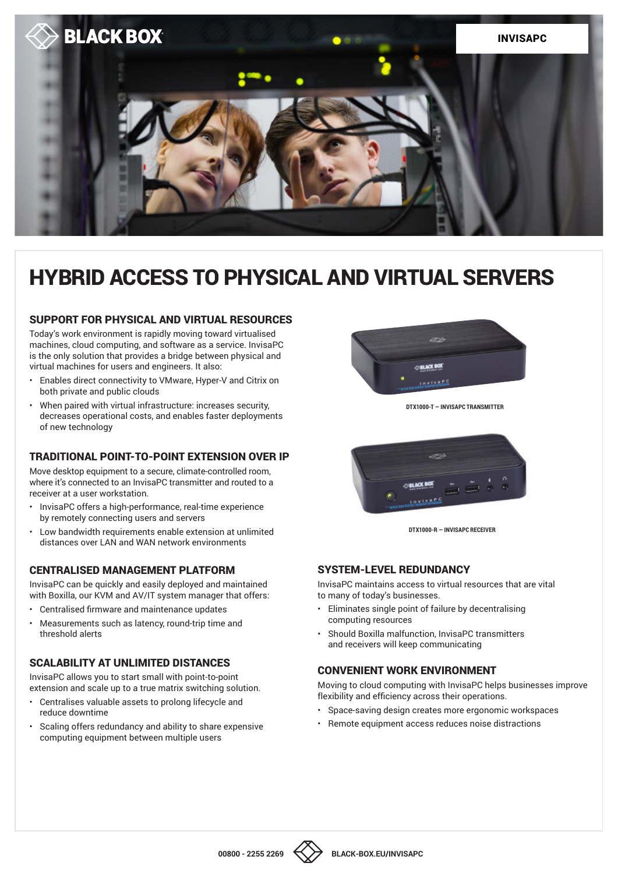

# HYBRID ACCESS TO PHYSICAL AND VIRTUAL SERVERS

#### SUPPORT FOR PHYSICAL AND VIRTUAL RESOURCES

Today's work environment is rapidly moving toward virtualised machines, cloud computing, and software as a service. InvisaPC is the only solution that provides a bridge between physical and virtual machines for users and engineers. It also:

- Enables direct connectivity to VMware, Hyper-V and Citrix on both private and public clouds
- When paired with virtual infrastructure: increases security, decreases operational costs, and enables faster deployments of new technology

## TRADITIONAL POINT-TO-POINT EXTENSION OVER IP

Move desktop equipment to a secure, climate-controlled room, where it's connected to an InvisaPC transmitter and routed to a receiver at a user workstation.

- InvisaPC offers a high-performance, real-time experience by remotely connecting users and servers
- Low bandwidth requirements enable extension at unlimited distances over LAN and WAN network environments

### CENTRALISED MANAGEMENT PLATFORM

InvisaPC can be quickly and easily deployed and maintained with Boxilla, our KVM and AV/IT system manager that offers:

- Centralised firmware and maintenance updates
- Measurements such as latency, round-trip time and threshold alerts

# SCALABILITY AT UNLIMITED DISTANCES

InvisaPC allows you to start small with point-to-point extension and scale up to a true matrix switching solution.

- Centralises valuable assets to prolong lifecycle and reduce downtime
- Scaling offers redundancy and ability to share expensive computing equipment between multiple users



**DTX1000-T — INVISAPC TRANSMITTER**



**DTX1000-R — INVISAPC RECEIVER**

### SYSTEM-LEVEL REDUNDANCY

InvisaPC maintains access to virtual resources that are vital to many of today's businesses.

- Eliminates single point of failure by decentralising computing resources
- Should Boxilla malfunction, InvisaPC transmitters and receivers will keep communicating

### CONVENIENT WORK ENVIRONMENT

Moving to cloud computing with InvisaPC helps businesses improve flexibility and efficiency across their operations.

- Space-saving design creates more ergonomic workspaces
- Remote equipment access reduces noise distractions